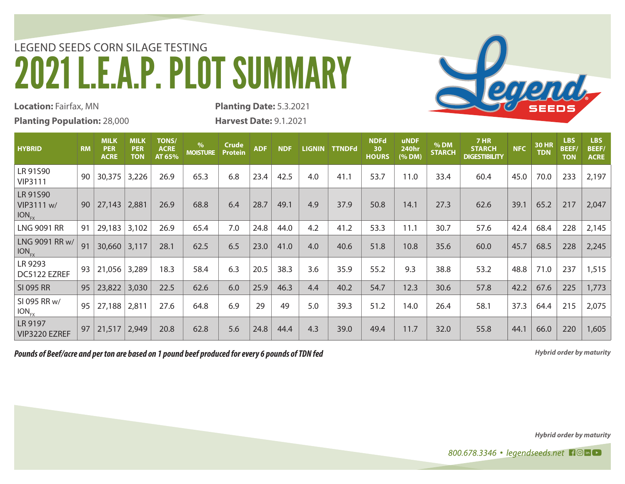## LEGEND SEEDS CORN SILAGE TESTING 2021 L.E.A.P. PLOT SUMMARY



**Location:** Fairfax, MN **Planting Population:** 28,000 **Planting Date:** 5.3.2021

**Harvest Date:** 9.1.2021

| <b>HYBRID</b>                            | <b>RM</b> | <b>MILK</b><br><b>PER</b><br><b>ACRE</b> | MILK<br><b>PER</b><br><b>TON</b> | <b>TONS/</b><br><b>ACRE</b><br>AT 65% | $\%$<br><b>MOISTURE</b> | <b>Crude</b><br><b>Protein</b> | <b>ADF</b> | <b>NDF</b> |     | LIGNIN TTNDFd | <b>NDFd</b><br>30<br><b>HOURS</b> | <b>uNDF</b><br><b>240hr</b><br>(% DM) | % DM<br><b>STARCH</b> | <b>7 HR</b><br><b>STARCH</b><br><b>DIGESTIBILITY</b> | <b>NFC</b> | <b>30 HR</b><br><b>TDN</b> | <b>LBS</b><br><b>BEEF/</b><br><b>TON</b> | <b>LBS</b><br><b>BEEF/</b><br><b>ACRE</b> |
|------------------------------------------|-----------|------------------------------------------|----------------------------------|---------------------------------------|-------------------------|--------------------------------|------------|------------|-----|---------------|-----------------------------------|---------------------------------------|-----------------------|------------------------------------------------------|------------|----------------------------|------------------------------------------|-------------------------------------------|
| LR 91S90<br><b>VIP3111</b>               | 90        | 30,375                                   | 3,226                            | 26.9                                  | 65.3                    | 6.8                            | 23.4       | 42.5       | 4.0 | 41.1          | 53.7                              | 11.0                                  | 33.4                  | 60.4                                                 | 45.0       | 70.0                       | 233                                      | 2,197                                     |
| LR 91S90<br>VIP3111 w/<br>$ION_{\rm rv}$ | 90        | 27,143 2,881                             |                                  | 26.9                                  | 68.8                    | 6.4                            | 28.7       | 49.1       | 4.9 | 37.9          | 50.8                              | 14.1                                  | 27.3                  | 62.6                                                 | 39.1       | 65.2                       | 217                                      | 2,047                                     |
| <b>LNG 9091 RR</b>                       | 91        | 29,183                                   | 3,102                            | 26.9                                  | 65.4                    | 7.0                            | 24.8       | 44.0       | 4.2 | 41.2          | 53.3                              | 11.1                                  | 30.7                  | 57.6                                                 | 42.4       | 68.4                       | 228                                      | 2,145                                     |
| LNG 9091 RR w/<br>$ION_{FX}$             | 91        | 30,660                                   | 3,117                            | 28.1                                  | 62.5                    | 6.5                            | 23.0       | 41.0       | 4.0 | 40.6          | 51.8                              | 10.8                                  | 35.6                  | 60.0                                                 | 45.7       | 68.5                       | 228                                      | 2,245                                     |
| LR 9293<br>DC5122 EZREF                  | 93        | 21,056                                   | 3,289                            | 18.3                                  | 58.4                    | 6.3                            | 20.5       | 38.3       | 3.6 | 35.9          | 55.2                              | 9.3                                   | 38.8                  | 53.2                                                 | 48.8       | 71.0                       | 237                                      | 1,515                                     |
| <b>SI 095 RR</b>                         | 95        | 23,822                                   | 3,030                            | 22.5                                  | 62.6                    | 6.0                            | 25.9       | 46.3       | 4.4 | 40.2          | 54.7                              | 12.3                                  | 30.6                  | 57.8                                                 | 42.2       | 67.6                       | 225                                      | 1,773                                     |
| SI 095 RR w/<br>$ION_{FX}$               | 95        | 27,188                                   | 2,811                            | 27.6                                  | 64.8                    | 6.9                            | 29         | 49         | 5.0 | 39.3          | 51.2                              | 14.0                                  | 26.4                  | 58.1                                                 | 37.3       | 64.4                       | 215                                      | 2,075                                     |
| LR 9197<br>VIP3220 EZREF                 | 97        | 21,517                                   | 2,949                            | 20.8                                  | 62.8                    | 5.6                            | 24.8       | 44.4       | 4.3 | 39.0          | 49.4                              | 11.7                                  | 32.0                  | 55.8                                                 | 44.1       | 66.0                       | 220                                      | 1,605                                     |

*Pounds of Beef/acre and per ton are based on 1 pound beef produced for every 6 pounds of TDN fed*

*Hybrid order by maturity*

*Hybrid order by maturity*